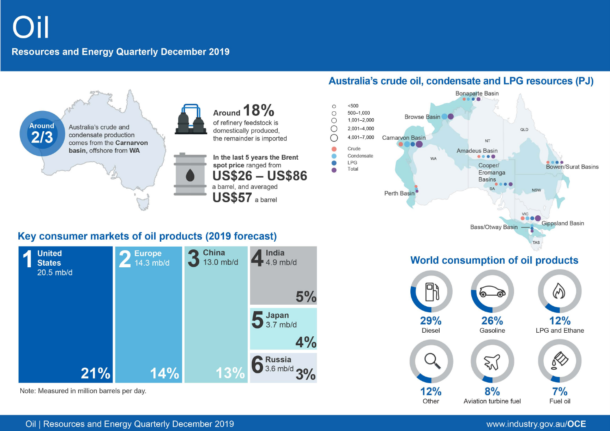# **Resources and Energy Quarterly December 2019**



# Key consumer markets of oil products (2019 forecast)



Note: Measured in million barrels per day.

# Australia's crude oil, condensate and LPG resources (PJ)

 $\sqrt{2}$ 



Aviation turbine fuel

Other

# $7%$ Fuel oil

# Oil | Resources and Energy Quarterly December 2019

## www.industry.gov.au/OCE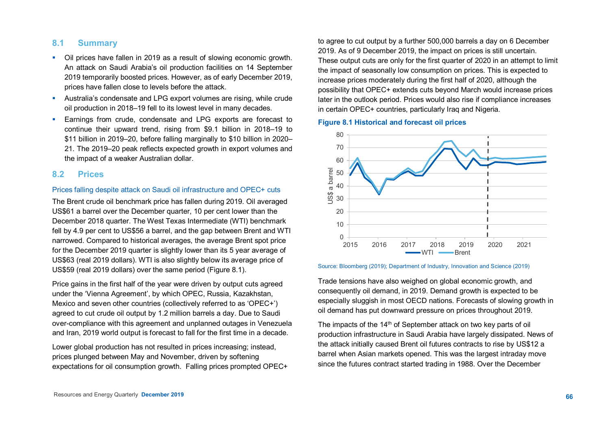## **8.1 Summary**

- Oil prices have fallen in 2019 as a result of slowing economic growth. An attack on Saudi Arabia's oil production facilities on 14 September 2019 temporarily boosted prices. However, as of early December 2019, prices have fallen close to levels before the attack.
- Australia's condensate and LPG export volumes are rising, while crude oil production in 2018–19 fell to its lowest level in many decades.
- **Earnings from crude, condensate and LPG exports are forecast to** continue their upward trend, rising from \$9.1 billion in 2018–19 to \$11 billion in 2019–20, before falling marginally to \$10 billion in 2020– 21. The 2019–20 peak reflects expected growth in export volumes and the impact of a weaker Australian dollar.

## **8.2 Prices**

#### Prices falling despite attack on Saudi oil infrastructure and OPEC+ cuts

The Brent crude oil benchmark price has fallen during 2019. Oil averaged US\$61 a barrel over the December quarter, 10 per cent lower than the December 2018 quarter. The West Texas Intermediate (WTI) benchmark fell by 4.9 per cent to US\$56 a barrel, and the gap between Brent and WTI narrowed. Compared to historical averages, the average Brent spot price for the December 2019 quarter is slightly lower than its 5 year average of US\$63 (real 2019 dollars). WTI is also slightly below its average price of US\$59 (real 2019 dollars) over the same period (Figure 8.1).

Price gains in the first half of the year were driven by output cuts agreed under the 'Vienna Agreement', by which OPEC, Russia, Kazakhstan, Mexico and seven other countries (collectively referred to as 'OPEC+') agreed to cut crude oil output by 1.2 million barrels a day. Due to Saudi over-compliance with this agreement and unplanned outages in Venezuela and Iran, 2019 world output is forecast to fall for the first time in a decade.

Lower global production has not resulted in prices increasing; instead, prices plunged between May and November, driven by softening expectations for oil consumption growth. Falling prices prompted OPEC+ to agree to cut output by a further 500,000 barrels a day on 6 December 2019. As of 9 December 2019, the impact on prices is still uncertain. These output cuts are only for the first quarter of 2020 in an attempt to limit the impact of seasonally low consumption on prices. This is expected to increase prices moderately during the first half of 2020, although the possibility that OPEC+ extends cuts beyond March would increase prices later in the outlook period. Prices would also rise if compliance increases in certain OPEC+ countries, particularly Iraq and Nigeria.

#### **Figure 8.1 Historical and forecast oil prices**



#### Source: Bloomberg (2019); Department of Industry, Innovation and Science (2019)

Trade tensions have also weighed on global economic growth, and consequently oil demand, in 2019. Demand growth is expected to be especially sluggish in most OECD nations. Forecasts of slowing growth in oil demand has put downward pressure on prices throughout 2019.

The impacts of the 14<sup>th</sup> of September attack on two key parts of oil production infrastructure in Saudi Arabia have largely dissipated. News of the attack initially caused Brent oil futures contracts to rise by US\$12 a barrel when Asian markets opened. This was the largest intraday move since the futures contract started trading in 1988. Over the December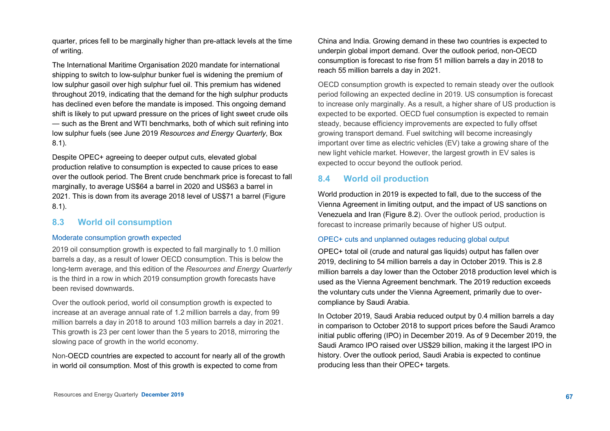quarter, prices fell to be marginally higher than pre-attack levels at the time of writing.

The International Maritime Organisation 2020 mandate for international shipping to switch to low-sulphur bunker fuel is widening the premium of low sulphur gasoil over high sulphur fuel oil. This premium has widened throughout 2019, indicating that the demand for the high sulphur products has declined even before the mandate is imposed. This ongoing demand shift is likely to put upward pressure on the prices of light sweet crude oils — such as the Brent and WTI benchmarks, both of which suit refining into low sulphur fuels (see June 2019 *Resources and Energy Quarterly*, Box 8.1).

Despite OPEC+ agreeing to deeper output cuts, elevated global production relative to consumption is expected to cause prices to ease over the outlook period. The Brent crude benchmark price is forecast to fall marginally, to average US\$64 a barrel in 2020 and US\$63 a barrel in 2021. This is down from its average 2018 level of US\$71 a barrel (Figure 8.1).

## **8.3 World oil consumption**

#### Moderate consumption growth expected

2019 oil consumption growth is expected to fall marginally to 1.0 million barrels a day, as a result of lower OECD consumption. This is below the long-term average, and this edition of the *Resources and Energy Quarterly* is the third in a row in which 2019 consumption growth forecasts have been revised downwards.

Over the outlook period, world oil consumption growth is expected to increase at an average annual rate of 1.2 million barrels a day, from 99 million barrels a day in 2018 to around 103 million barrels a day in 2021. This growth is 23 per cent lower than the 5 years to 2018, mirroring the slowing pace of growth in the world economy.

Non-OECD countries are expected to account for nearly all of the growth in world oil consumption. Most of this growth is expected to come from

China and India. Growing demand in these two countries is expected to underpin global import demand. Over the outlook period, non-OECD consumption is forecast to rise from 51 million barrels a day in 2018 to reach 55 million barrels a day in 2021.

OECD consumption growth is expected to remain steady over the outlook period following an expected decline in 2019. US consumption is forecast to increase only marginally. As a result, a higher share of US production is expected to be exported. OECD fuel consumption is expected to remain steady, because efficiency improvements are expected to fully offset growing transport demand. Fuel switching will become increasingly important over time as electric vehicles (EV) take a growing share of the new light vehicle market. However, the largest growth in EV sales is expected to occur beyond the outlook period.

# **8.4 World oil production**

World production in 2019 is expected to fall, due to the success of the Vienna Agreement in limiting output, and the impact of US sanctions on Venezuela and Iran (Figure 8.2). Over the outlook period, production is forecast to increase primarily because of higher US output.

#### OPEC+ cuts and unplanned outages reducing global output

OPEC+ total oil (crude and natural gas liquids) output has fallen over 2019, declining to 54 million barrels a day in October 2019. This is 2.8 million barrels a day lower than the October 2018 production level which is used as the Vienna Agreement benchmark. The 2019 reduction exceeds the voluntary cuts under the Vienna Agreement, primarily due to overcompliance by Saudi Arabia.

In October 2019, Saudi Arabia reduced output by 0.4 million barrels a day in comparison to October 2018 to support prices before the Saudi Aramco initial public offering (IPO) in December 2019. As of 9 December 2019, the Saudi Aramco IPO raised over US\$29 billion, making it the largest IPO in history. Over the outlook period, Saudi Arabia is expected to continue producing less than their OPEC+ targets.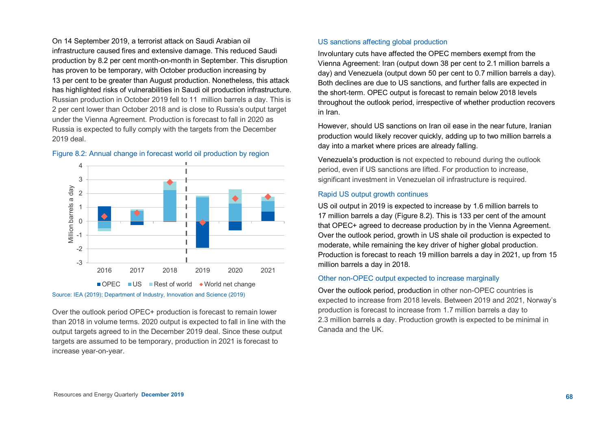On 14 September 2019, a terrorist attack on Saudi Arabian oil infrastructure caused fires and extensive damage. This reduced Saudi production by 8.2 per cent month-on-month in September. This disruption has proven to be temporary, with October production increasing by 13 per cent to be greater than August production. Nonetheless, this attack has highlighted risks of vulnerabilities in Saudi oil production infrastructure. Russian production in October 2019 fell to 11 million barrels a day. This is 2 per cent lower than October 2018 and is close to Russia's output target under the Vienna Agreement. Production is forecast to fall in 2020 as Russia is expected to fully comply with the targets from the December 2019 deal.



## Figure 8.2: Annual change in forecast world oil production by region

Source: IEA (2019); Department of Industry, Innovation and Science (2019)

Over the outlook period OPEC+ production is forecast to remain lower than 2018 in volume terms. 2020 output is expected to fall in line with the output targets agreed to in the December 2019 deal. Since these output targets are assumed to be temporary, production in 2021 is forecast to increase year-on-year.

## US sanctions affecting global production

Involuntary cuts have affected the OPEC members exempt from the Vienna Agreement: Iran (output down 38 per cent to 2.1 million barrels a day) and Venezuela (output down 50 per cent to 0.7 million barrels a day). Both declines are due to US sanctions, and further falls are expected in the short-term. OPEC output is forecast to remain below 2018 levels throughout the outlook period, irrespective of whether production recovers in Iran.

However, should US sanctions on Iran oil ease in the near future, Iranian production would likely recover quickly, adding up to two million barrels a day into a market where prices are already falling.

Venezuela's production is not expected to rebound during the outlook period, even if US sanctions are lifted. For production to increase, significant investment in Venezuelan oil infrastructure is required.

## Rapid US output growth continues

US oil output in 2019 is expected to increase by 1.6 million barrels to 17 million barrels a day (Figure 8.2). This is 133 per cent of the amount that OPEC+ agreed to decrease production by in the Vienna Agreement. Over the outlook period, growth in US shale oil production is expected to moderate, while remaining the key driver of higher global production. Production is forecast to reach 19 million barrels a day in 2021, up from 15 million barrels a day in 2018.

## Other non-OPEC output expected to increase marginally

Over the outlook period, production in other non-OPEC countries is expected to increase from 2018 levels. Between 2019 and 2021, Norway's production is forecast to increase from 1.7 million barrels a day to 2.3 million barrels a day. Production growth is expected to be minimal in Canada and the UK.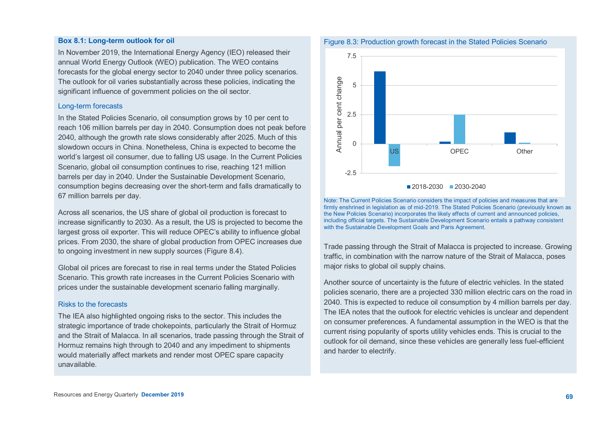#### **Box 8.1: Long-term outlook for oil**

In November 2019, the International Energy Agency (IEO) released their annual World Energy Outlook (WEO) publication. The WEO contains forecasts for the global energy sector to 2040 under three policy scenarios. The outlook for oil varies substantially across these policies, indicating the significant influence of government policies on the oil sector.

#### Long-term forecasts

In the Stated Policies Scenario, oil consumption grows by 10 per cent to reach 106 million barrels per day in 2040. Consumption does not peak before 2040, although the growth rate slows considerably after 2025. Much of this slowdown occurs in China. Nonetheless, China is expected to become the world's largest oil consumer, due to falling US usage. In the Current Policies Scenario, global oil consumption continues to rise, reaching 121 million barrels per day in 2040. Under the Sustainable Development Scenario, consumption begins decreasing over the short-term and falls dramatically to 67 million barrels per day.

Across all scenarios, the US share of global oil production is forecast to increase significantly to 2030. As a result, the US is projected to become the largest gross oil exporter. This will reduce OPEC's ability to influence global prices. From 2030, the share of global production from OPEC increases due to ongoing investment in new supply sources (Figure 8.4).

Global oil prices are forecast to rise in real terms under the Stated Policies Scenario. This growth rate increases in the Current Policies Scenario with prices under the sustainable development scenario falling marginally.

#### Risks to the forecasts

The IEA also highlighted ongoing risks to the sector. This includes the strategic importance of trade chokepoints, particularly the Strait of Hormuz and the Strait of Malacca. In all scenarios, trade passing through the Strait of Hormuz remains high through to 2040 and any impediment to shipments would materially affect markets and render most OPEC spare capacity unavailable.



Note: The Current Policies Scenario considers the impact of policies and measures that are firmly enshrined in legislation as of mid-2019. The Stated Policies Scenario (previously known as the New Policies Scenario) incorporates the likely effects of current and announced policies, including official targets. The Sustainable Development Scenario entails a pathway consistent with the Sustainable Development Goals and Paris Agreement

Trade passing through the Strait of Malacca is projected to increase. Growing traffic, in combination with the narrow nature of the Strait of Malacca, poses major risks to global oil supply chains.

Another source of uncertainty is the future of electric vehicles. In the stated policies scenario, there are a projected 330 million electric cars on the road in 2040. This is expected to reduce oil consumption by 4 million barrels per day. The IEA notes that the outlook for electric vehicles is unclear and dependent on consumer preferences. A fundamental assumption in the WEO is that the current rising popularity of sports utility vehicles ends. This is crucial to the outlook for oil demand, since these vehicles are generally less fuel-efficient and harder to electrify.

#### Figure 8.3: Production growth forecast in the Stated Policies Scenario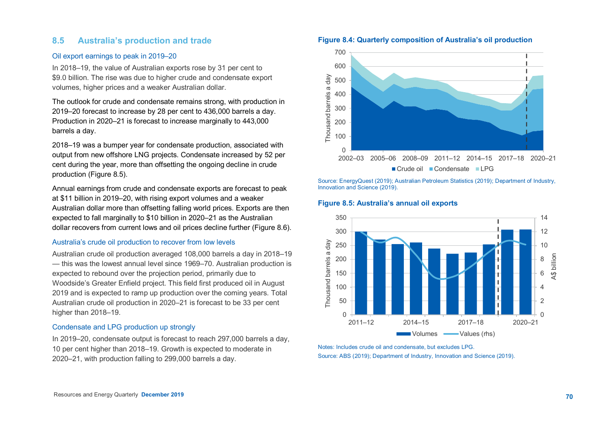## **8.5 Australia's production and trade**

#### Oil export earnings to peak in 2019–20

In 2018–19, the value of Australian exports rose by 31 per cent to \$9.0 billion. The rise was due to higher crude and condensate export volumes, higher prices and a weaker Australian dollar.

The outlook for crude and condensate remains strong, with production in 2019–20 forecast to increase by 28 per cent to 436,000 barrels a day. Production in 2020–21 is forecast to increase marginally to 443,000 barrels a day.

2018–19 was a bumper year for condensate production, associated with output from new offshore LNG projects. Condensate increased by 52 per cent during the year, more than offsetting the ongoing decline in crude production (Figure 8.5).

Annual earnings from crude and condensate exports are forecast to peak at \$11 billion in 2019–20, with rising export volumes and a weaker Australian dollar more than offsetting falling world prices. Exports are then expected to fall marginally to \$10 billion in 2020–21 as the Australian dollar recovers from current lows and oil prices decline further (Figure 8.6).

#### Australia's crude oil production to recover from low levels

Australian crude oil production averaged 108,000 barrels a day in 2018–19 — this was the lowest annual level since 1969–70. Australian production is expected to rebound over the projection period, primarily due to Woodside's Greater Enfield project. This field first produced oil in August 2019 and is expected to ramp up production over the coming years. Total Australian crude oil production in 2020–21 is forecast to be 33 per cent higher than 2018–19.

### Condensate and LPG production up strongly

In 2019–20, condensate output is forecast to reach 297,000 barrels a day, 10 per cent higher than 2018–19. Growth is expected to moderate in 2020–21, with production falling to 299,000 barrels a day.





Source: EnergyQuest (2019); Australian Petroleum Statistics (2019); Department of Industry, Innovation and Science (2019).

#### **Figure 8.5: Australia's annual oil exports**



Notes: Includes crude oil and condensate, but excludes LPG. Source: ABS (2019); Department of Industry, Innovation and Science (2019).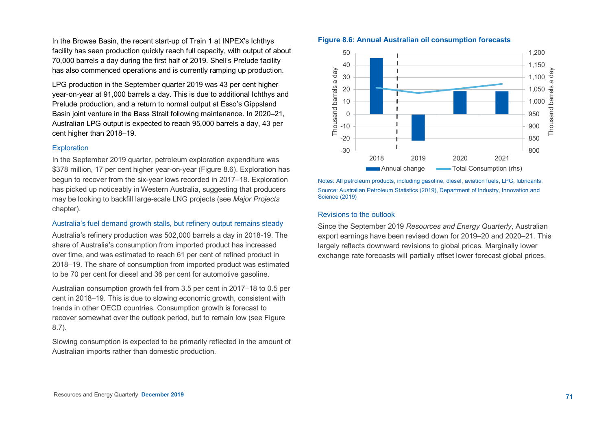In the Browse Basin, the recent start-up of Train 1 at INPEX's Ichthys facility has seen production quickly reach full capacity, with output of about 70,000 barrels a day during the first half of 2019. Shell's Prelude facility has also commenced operations and is currently ramping up production.

LPG production in the September quarter 2019 was 43 per cent higher year-on-year at 91,000 barrels a day. This is due to additional Ichthys and Prelude production, and a return to normal output at Esso's Gippsland Basin joint venture in the Bass Strait following maintenance. In 2020–21, Australian LPG output is expected to reach 95,000 barrels a day, 43 per cent higher than 2018–19.

## **Exploration**

In the September 2019 quarter, petroleum exploration expenditure was \$378 million, 17 per cent higher year-on-year (Figure 8.6). Exploration has begun to recover from the six-year lows recorded in 2017–18. Exploration has picked up noticeably in Western Australia, suggesting that producers may be looking to backfill large-scale LNG projects (see *Major Projects* chapter).

## Australia's fuel demand growth stalls, but refinery output remains steady

Australia's refinery production was 502,000 barrels a day in 2018-19. The share of Australia's consumption from imported product has increased over time, and was estimated to reach 61 per cent of refined product in 2018–19. The share of consumption from imported product was estimated to be 70 per cent for diesel and 36 per cent for automotive gasoline.

Australian consumption growth fell from 3.5 per cent in 2017–18 to 0.5 per cent in 2018–19. This is due to slowing economic growth, consistent with trends in other OECD countries. Consumption growth is forecast to recover somewhat over the outlook period, but to remain low (see Figure 8.7).

Slowing consumption is expected to be primarily reflected in the amount of Australian imports rather than domestic production.





Notes: All petroleum products, including gasoline, diesel, aviation fuels, LPG, lubricants. Source: Australian Petroleum Statistics (2019), Department of Industry, Innovation and Science (2019)

#### Revisions to the outlook

Since the September 2019 *Resources and Energy Quarterly*, Australian export earnings have been revised down for 2019–20 and 2020–21. This largely reflects downward revisions to global prices. Marginally lower exchange rate forecasts will partially offset lower forecast global prices.